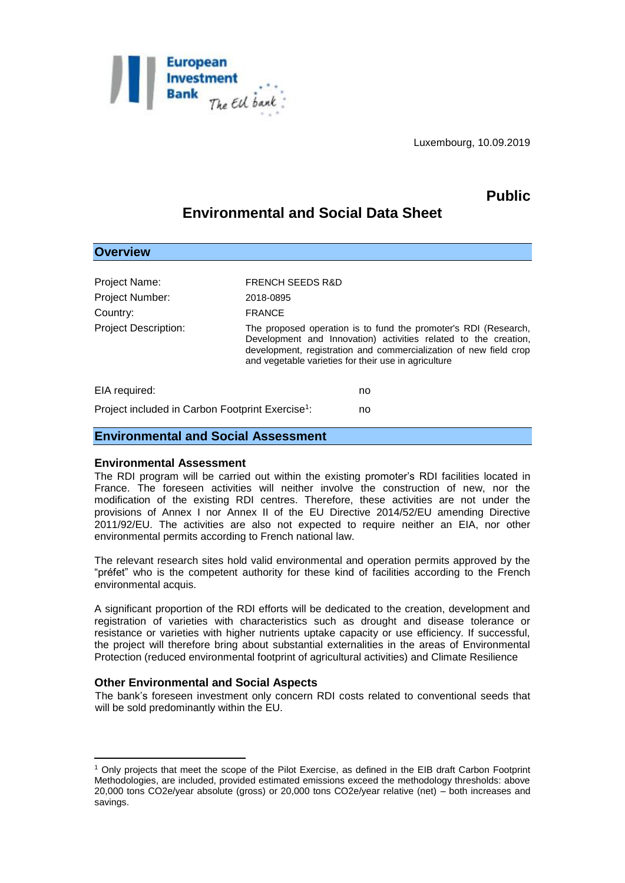

Luxembourg, 10.09.2019

# **Public**

# **Environmental and Social Data Sheet**

| <b>Overview</b>                                              |                             |                                                                                                                                                                                                                                                                 |
|--------------------------------------------------------------|-----------------------------|-----------------------------------------------------------------------------------------------------------------------------------------------------------------------------------------------------------------------------------------------------------------|
|                                                              |                             |                                                                                                                                                                                                                                                                 |
| Project Name:                                                | <b>FRENCH SEEDS R&amp;D</b> |                                                                                                                                                                                                                                                                 |
| Project Number:                                              | 2018-0895                   |                                                                                                                                                                                                                                                                 |
| Country:                                                     | <b>FRANCE</b>               |                                                                                                                                                                                                                                                                 |
| <b>Project Description:</b>                                  |                             | The proposed operation is to fund the promoter's RDI (Research,<br>Development and Innovation) activities related to the creation,<br>development, registration and commercialization of new field crop<br>and vegetable varieties for their use in agriculture |
| EIA required:                                                |                             | no                                                                                                                                                                                                                                                              |
| Project included in Carbon Footprint Exercise <sup>1</sup> : |                             | no                                                                                                                                                                                                                                                              |

## **Environmental and Social Assessment**

#### **Environmental Assessment**

The RDI program will be carried out within the existing promoter's RDI facilities located in France. The foreseen activities will neither involve the construction of new, nor the modification of the existing RDI centres. Therefore, these activities are not under the provisions of Annex I nor Annex II of the EU Directive 2014/52/EU amending Directive 2011/92/EU. The activities are also not expected to require neither an EIA, nor other environmental permits according to French national law.

The relevant research sites hold valid environmental and operation permits approved by the "préfet" who is the competent authority for these kind of facilities according to the French environmental acquis.

A significant proportion of the RDI efforts will be dedicated to the creation, development and registration of varieties with characteristics such as drought and disease tolerance or resistance or varieties with higher nutrients uptake capacity or use efficiency. If successful, the project will therefore bring about substantial externalities in the areas of Environmental Protection (reduced environmental footprint of agricultural activities) and Climate Resilience

### **Other Environmental and Social Aspects**

1

The bank's foreseen investment only concern RDI costs related to conventional seeds that will be sold predominantly within the EU.

<sup>1</sup> Only projects that meet the scope of the Pilot Exercise, as defined in the EIB draft Carbon Footprint Methodologies, are included, provided estimated emissions exceed the methodology thresholds: above 20,000 tons CO2e/year absolute (gross) or 20,000 tons CO2e/year relative (net) – both increases and savings.